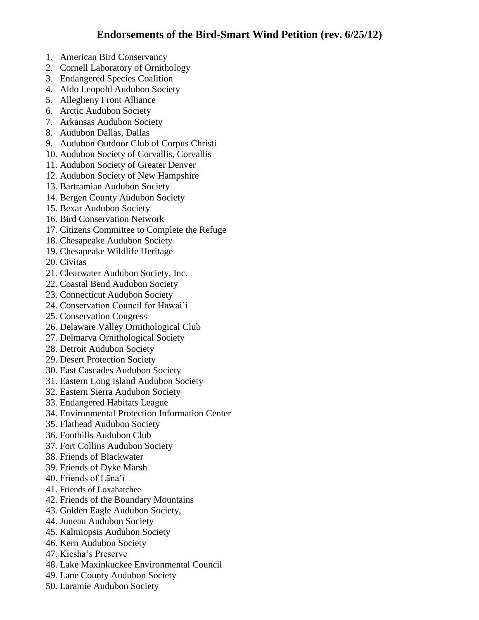- 1. American Bird Conservancy
- 2. Cornell Laboratory of Ornithology
- 3. Endangered Species Coalition
- 4. Aldo Leopold Audubon Society
- 5. Allegheny Front Alliance
- 6. Arctic Audubon Society
- 7. Arkansas Audubon Society
- 8. Audubon Dallas, Dallas
- 9. Audubon Outdoor Club of Corpus Christi
- 10. Audubon Society of Corvallis, Corvallis
- 11. Audubon Society of Greater Denver
- 12. Audubon Society of New Hampshire
- 13. Bartramian Audubon Society
- 14. Bergen County Audubon Society
- 15. Bexar Audubon Society
- 16. Bird Conservation Network
- 17. Citizens Committee to Complete the Refuge
- 18. Chesapeake Audubon Society
- 19. Chesapeake Wildlife Heritage
- 20. Civitas
- 21. Clearwater Audubon Society, Inc.
- 22. Coastal Bend Audubon Society
- 23. Connecticut Audubon Society
- 24. Conservation Council for Hawai'i
- 25. Conservation Congress
- 26. Delaware Valley Ornithological Club
- 27. Delmarva Ornithological Society
- 28. Detroit Audubon Society
- 29. Desert Protection Society
- 30. East Cascades Audubon Society
- 31. Eastern Long Island Audubon Society
- 32. Eastern Sierra Audubon Society
- 33. Endangered Habitats League
- 34. Environmental Protection Information Center
- 35. Flathead Audubon Society
- 36. Foothills Audubon Club
- 37. Fort Collins Audubon Society
- 38. Friends of Blackwater
- 39. Friends of Dyke Marsh
- 40. Friends of Lāna'i
- 41. Friends of Loxahatchee
- 42. Friends of the Boundary Mountains
- 43. Golden Eagle Audubon Society,
- 44. Juneau Audubon Society
- 45. Kalmiopsis Audubon Society
- 46. Kern Audubon Society
- 47. Kiesha's Preserve
- 48. Lake Maxinkuckee Environmental Council
- 49. Lane County Audubon Society
- 50. Laramie Audubon Society